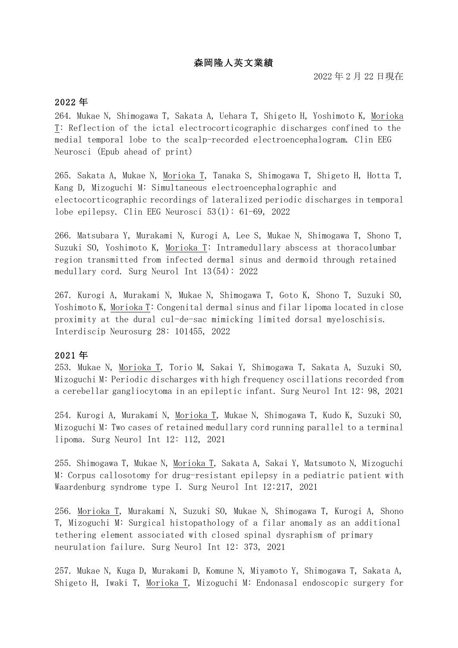# 森岡隆人英文業績

### 2022 年

264. Mukae N, Shimogawa T, Sakata A, Uehara T, Shigeto H, Yoshimoto K, Morioka T: Reflection of the ictal electrocorticographic discharges confined to the medial temporal lobe to the scalp-recorded electroencephalogram. Clin EEG Neurosci (Epub ahead of print)

265. Sakata A, Mukae N, Morioka T, Tanaka S, Shimogawa T, Shigeto H, Hotta T, Kang D, Mizoguchi M: Simultaneous electroencephalographic and electocorticographic recordings of lateralized periodic discharges in temporal lobe epilepsy. Clin EEG Neurosci  $53(1)$ : 61-69, 2022

266. Matsubara Y, Murakami N, Kurogi A, Lee S, Mukae N, Shimogawa T, Shono T, Suzuki SO, Yoshimoto K, Morioka T: Intramedullary abscess at thoracolumbar region transmitted from infected dermal sinus and dermoid through retained medullary cord. Surg Neurol Int  $13(54)$ : 2022

267. Kurogi A, Murakami N, Mukae N, Shimogawa T, Goto K, Shono T, Suzuki SO, Yoshimoto K, Morioka T: Congenital dermal sinus and filar lipoma located in close proximity at the dural cul-de-sac mimicking limited dorsal myeloschisis. Interdiscip Neurosurg 28: 101455, 2022

#### 2021 年

253. Mukae N, Morioka T, Torio M, Sakai Y, Shimogawa T, Sakata A, Suzuki SO, Mizoguchi M: Periodic discharges with high frequency oscillations recorded from a cerebellar gangliocytoma in an epileptic infant. Surg Neurol Int 12: 98, 2021

254. Kurogi A, Murakami N, <u>Morioka T</u>, Mukae N, Shimogawa T, Kudo K, Suzuki SO, Mizoguchi M: Two cases of retained medullary cord running parallel to a terminal lipoma. Surg Neurol Int 12: 112, 2021

255. Shimogawa T, Mukae N, Morioka T, Sakata A, Sakai Y, Matsumoto N, Mizoguchi M: Corpus callosotomy for drug-resistant epilepsy in a pediatric patient with Waardenburg syndrome type I. Surg Neurol Int 12:217, 2021

256. Morioka T, Murakami N, Suzuki SO, Mukae N, Shimogawa T, Kurogi A, Shono T, Mizoguchi M: Surgical histopathology of a filar anomaly as an additional tethering element associated with closed spinal dysraphism of primary neurulation failure. Surg Neurol Int 12: 373, 2021

257. Mukae N, Kuga D, Murakami D, Komune N, Miyamoto Y, Shimogawa T, Sakata A, Shigeto H, Iwaki T, Morioka T, Mizoguchi M: Endonasal endoscopic surgery for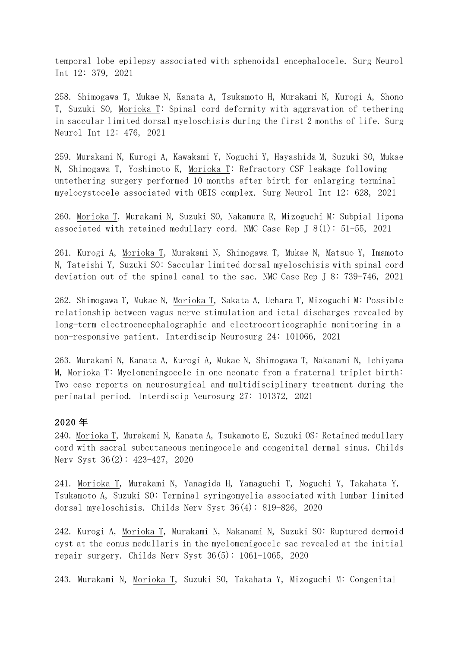temporal lobe epilepsy associated with sphenoidal encephalocele. Surg Neurol Int 12: 379, 2021

258. Shimogawa T, Mukae N, Kanata A, Tsukamoto H, Murakami N, Kurogi A, Shono T, Suzuki SO, Morioka T: Spinal cord deformity with aggravation of tethering in saccular limited dorsal myeloschisis during the first 2 months of life. Surg Neurol Int 12: 476, 2021

259. Murakami N, Kurogi A, Kawakami Y, Noguchi Y, Hayashida M, Suzuki SO, Mukae N, Shimogawa T, Yoshimoto K, Morioka T: Refractory CSF leakage following untethering surgery performed 10 months after birth for enlarging terminal myelocystocele associated with OEIS complex. Surg Neurol Int 12: 628, 2021

260. Morioka T, Murakami N, Suzuki SO, Nakamura R, Mizoguchi M: Subpial lipoma associated with retained medullary cord. NMC Case Rep J  $8(1)$ : 51-55, 2021

261. Kurogi A, Morioka T, Murakami N, Shimogawa T, Mukae N, Matsuo Y, Imamoto N, Tateishi Y, Suzuki SO: Saccular limited dorsal myeloschisis with spinal cord deviation out of the spinal canal to the sac. NMC Case Rep J 8: 739-746, 2021

262. Shimogawa T, Mukae N, Morioka T, Sakata A, Uehara T, Mizoguchi M: Possible relationship between vagus nerve stimulation and ictal discharges revealed by long-term electroencephalographic and electrocorticographic monitoring in a non-responsive patient. Interdiscip Neurosurg 24: 101066, 2021

263. Murakami N, Kanata A, Kurogi A, Mukae N, Shimogawa T, Nakanami N, Ichiyama M, Morioka T: Myelomeningocele in one neonate from a fraternal triplet birth: Two case reports on neurosurgical and multidisciplinary treatment during the perinatal period. Interdiscip Neurosurg 27: 101372, 2021

#### 2020 年

240. Morioka T, Murakami N, Kanata A, Tsukamoto E, Suzuki OS: Retained medullary cord with sacral subcutaneous meningocele and congenital dermal sinus. Childs Nerv Syst 36(2): 423-427, 2020

241. Morioka T, Murakami N, Yanagida H, Yamaguchi T, Noguchi Y, Takahata Y, Tsukamoto A, Suzuki SO: Terminal syringomyelia associated with lumbar limited dorsal myeloschisis. Childs Nerv Syst 36(4): 819-826, 2020

242. Kurogi A, Morioka T, Murakami N, Nakanami N, Suzuki SO: Ruptured dermoid cyst at the conus medullaris in the myelomenigocele sac revealed at the initial repair surgery. Childs Nerv Syst  $36(5)$ : 1061-1065, 2020

243. Murakami N, Morioka T, Suzuki SO, Takahata Y, Mizoguchi M: Congenital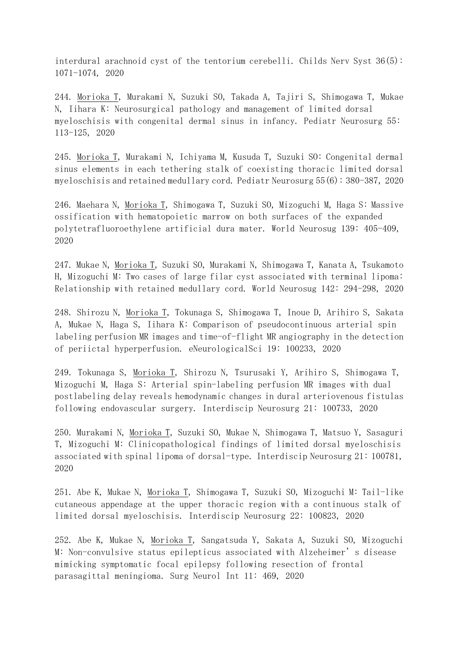interdural arachnoid cyst of the tentorium cerebelli. Childs Nerv Syst  $36(5)$ : 1071-1074, 2020

244. Morioka T, Murakami N, Suzuki SO, Takada A, Tajiri S, Shimogawa T, Mukae N, Iihara K: Neurosurgical pathology and management of limited dorsal myeloschisis with congenital dermal sinus in infancy. Pediatr Neurosurg 55: 113-125, 2020

245. Morioka T, Murakami N, Ichiyama M, Kusuda T, Suzuki SO: Congenital dermal sinus elements in each tethering stalk of coexisting thoracic limited dorsal myeloschisis and retained medullary cord. Pediatr Neurosurg  $55(6): 380-387$ , 2020

246. Maehara N, Morioka T, Shimogawa T, Suzuki SO, Mizoguchi M, Haga S: Massive ossification with hematopoietic marrow on both surfaces of the expanded polytetrafluoroethylene artificial dura mater. World Neurosug 139: 405-409, 2020

247. Mukae N, Morioka T, Suzuki SO, Murakami N, Shimogawa T, Kanata A, Tsukamoto H, Mizoguchi M: Two cases of large filar cyst associated with terminal lipoma: Relationship with retained medullary cord. World Neurosug 142: 294-298, 2020

248. Shirozu N, Morioka T, Tokunaga S, Shimogawa T, Inoue D, Arihiro S, Sakata A, Mukae N, Haga S, Iihara K: Comparison of pseudocontinuous arterial spin labeling perfusion MR images and time-of-flight MR angiography in the detection of periictal hyperperfusion. eNeurologicalSci 19: 100233, 2020

249. Tokunaga S, Morioka T, Shirozu N, Tsurusaki Y, Arihiro S, Shimogawa T, Mizoguchi M, Haga S: Arterial spin-labeling perfusion MR images with dual postlabeling delay reveals hemodynamic changes in dural arteriovenous fistulas following endovascular surgery. Interdiscip Neurosurg 21: 100733, 2020

250. Murakami N, Morioka T, Suzuki SO, Mukae N, Shimogawa T, Matsuo Y, Sasaguri T, Mizoguchi M: Clinicopathological findings of limited dorsal myeloschisis associated with spinal lipoma of dorsal-type. Interdiscip Neurosurg 21: 100781, 2020

251. Abe K, Mukae N, Morioka T, Shimogawa T, Suzuki SO, Mizoguchi M: Tail-like cutaneous appendage at the upper thoracic region with a continuous stalk of limited dorsal myeloschisis. Interdiscip Neurosurg 22: 100823, 2020

252. Abe K, Mukae N, Morioka T, Sangatsuda Y, Sakata A, Suzuki SO, Mizoguchi M: Non-convulsive status epilepticus associated with Alzeheimer's disease mimicking symptomatic focal epilepsy following resection of frontal parasagittal meningioma. Surg Neurol Int 11: 469, 2020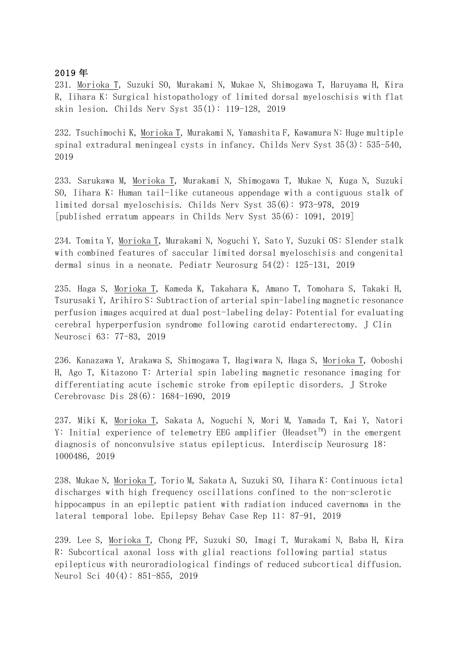#### 2019 年

231. Morioka T, Suzuki SO, Murakami N, Mukae N, Shimogawa T, Haruyama H, Kira R, Iihara K: Surgical histopathology of limited dorsal myeloschisis with flat skin lesion. Childs Nerv Syst  $35(1)$ : 119-128, 2019

232. Tsuchimochi K, Morioka T, Murakami N, Yamashita F, Kawamura N: Huge multiple spinal extradural meningeal cysts in infancy. Childs Nerv Syst  $35(3)$ : 535-540, 2019

233. Sarukawa M, Morioka T, Murakami N, Shimogawa T, Mukae N, Kuga N, Suzuki SO, Iihara  $K:$  Human tail-like cutaneous appendage with a contiguous stalk of limited dorsal myeloschisis. Childs Nerv Syst 35(6): 973-978, 2019 [published erratum appears in Childs Nerv Syst  $35(6)$ : 1091, 2019]

234. Tomita Y, Morioka T, Murakami N, Noguchi Y, Sato Y, Suzuki OS: Slender stalk with combined features of saccular limited dorsal myeloschisis and congenital dermal sinus in a neonate. Pediatr Neurosurg  $54(2)$ : 125-131, 2019

235. Haga S, Morioka T, Kameda K, Takahara K, Amano T, Tomohara S, Takaki H, Tsurusaki Y, Arihiro S: Subtraction of arterial spin-labeling magnetic resonance perfusion images acquired at dual post-labeling delay: Potential for evaluating cerebral hyperperfusion syndrome following carotid endarterectomy. J Clin Neurosci 63: 77-83, 2019

236. Kanazawa Y, Arakawa S, Shimogawa T, Hagiwara N, Haga S, Morioka T, Ooboshi H, Ago T, Kitazono T: Arterial spin labeling magnetic resonance imaging for differentiating acute ischemic stroke from epileptic disorders. J Stroke Cerebrovasc Dis 28(6): 1684-1690, 2019

237. Miki K, Morioka T, Sakata A, Noguchi N, Mori M, Yamada T, Kai Y, Natori Y: Initial experience of telemetry EEG amplifier (Headset<sup>TM</sup>) in the emergent diagnosis of nonconvulsive status epilepticus. Interdiscip Neurosurg 18: 1000486, 2019

238. Mukae N, Morioka T, Torio M, Sakata A, Suzuki SO, Iihara K: Continuous ictal discharges with high frequency oscillations confined to the non-sclerotic hippocampus in an epileptic patient with radiation induced cavernoma in the lateral temporal lobe. Epilepsy Behav Case Rep 11: 87-91, 2019

239. Lee S, Morioka T, Chong PF, Suzuki SO, Imagi T, Murakami N, Baba H, Kira R: Subcortical axonal loss with glial reactions following partial status epilepticus with neuroradiological findings of reduced subcortical diffusion. Neurol Sci  $40(4)$ : 851-855, 2019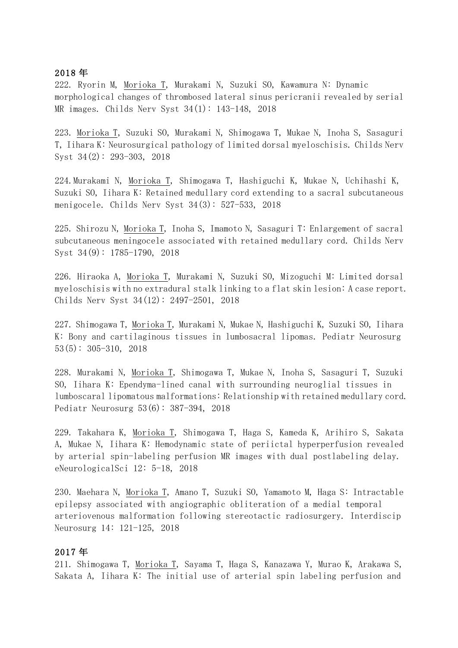### 2018 年

222. Ryorin M, Morioka T, Murakami N, Suzuki SO, Kawamura N: Dynamic morphological changes of thrombosed lateral sinus pericranii revealed by serial MR images. Childs Nerv Syst  $34(1)$ : 143-148, 2018

223. Morioka T, Suzuki SO, Murakami N, Shimogawa T, Mukae N, Inoha S, Sasaguri T, Iihara K: Neurosurgical pathology of limited dorsal myeloschisis. Childs Nerv Syst  $34(2)$ : 293-303, 2018

224. Murakami N, Morioka T, Shimogawa T, Hashiguchi K, Mukae N, Uchihashi K, Suzuki SO, Iihara K: Retained medullary cord extending to a sacral subcutaneous menigocele. Childs Nerv Syst  $34(3)$ : 527-533, 2018

225. Shirozu N, Morioka T, Inoha S, Imamoto N, Sasaguri T: Enlargement of sacral subcutaneous meningocele associated with retained medullary cord. Childs Nerv Syst  $34(9)$ : 1785-1790, 2018

226. Hiraoka A, Morioka T, Murakami N, Suzuki SO, Mizoguchi M: Limited dorsal myeloschisis with no extradural stalk linking to a flat skin lesion: A case report. Childs Nerv Syst 34(12): 2497-2501, 2018

227. Shimogawa T, Morioka T, Murakami N, Mukae N, Hashiguchi K, Suzuki SO, Iihara K: Bony and cartilaginous tissues in lumbosacral lipomas. Pediatr Neurosurg  $53(5): 305-310, 2018$ 

228. Murakami N, Morioka T, Shimogawa T, Mukae N, Inoha S, Sasaguri T, Suzuki SO, Iihara K: Ependyma-lined canal with surrounding neuroglial tissues in lumboscaral lipomatous malformations: Relationship with retained medullary cord. Pediatr Neurosurg  $53(6)$ :  $387-394$ , 2018

229. Takahara K, Morioka T, Shimogawa T, Haga S, Kameda K, Arihiro S, Sakata A, Mukae N, Iihara K: Hemodynamic state of periictal hyperperfusion revealed by arterial spin-labeling perfusion MR images with dual postlabeling delay. eNeurologicalSci 12: 5-18, 2018

230. Maehara N, Morioka T, Amano T, Suzuki SO, Yamamoto M, Haga S: Intractable epilepsy associated with angiographic obliteration of a medial temporal arteriovenous malformation following stereotactic radiosurgery. Interdiscip Neurosurg 14: 121-125, 2018

#### 2017 年

211. Shimogawa T, Morioka T, Sayama T, Haga S, Kanazawa Y, Murao K, Arakawa S, Sakata A, Iihara K: The initial use of arterial spin labeling perfusion and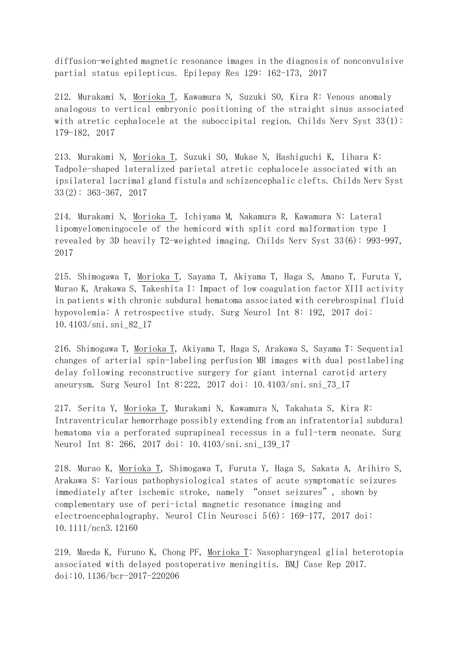diffusion-weighted magnetic resonance images in the diagnosis of nonconvulsive partial status epilepticus. Epilepsy Res 129: 162-173, 2017

212. Murakami N, Morioka T, Kawamura N, Suzuki SO, Kira R: Venous anomaly analogous to vertical embryonic positioning of the straight sinus associated with atretic cephalocele at the suboccipital region. Childs Nerv Syst  $33(1)$ : 179-182, 2017

213. Murakami N, Morioka T, Suzuki SO, Mukae N, Hashiguchi K, Iihara K: Tadpole-shaped lateralized parietal atretic cephalocele associated with an ipsilateral lacrimal gland fistula and schizencephalic clefts. Childs Nerv Syst  $33(2): 363-367, 2017$ 

214. Murakami N, Morioka T, Ichiyama M, Nakamura R, Kawamura N: Lateral lipomyelomeningocele of the hemicord with split cord malformation type I revealed by 3D heavily T2-weighted imaging. Childs Nerv Syst 33(6): 993-997, 2017

215. Shimogawa T, Morioka T, Sayama T, Akiyama T, Haga S, Amano T, Furuta Y, Murao K, Arakawa S, Takeshita I: Impact of low coagulation factor XIII activity in patients with chronic subdural hematoma associated with cerebrospinal fluid hypovolemia: A retrospective study. Surg Neurol Int 8: 192, 2017 doi: 10.4103/sni.sni\_82\_17

216. Shimogawa T, Morioka T, Akiyama T, Haga S, Arakawa S, Sayama T: Sequential changes of arterial spin-labeling perfusion MR images with dual postlabeling delay following reconstructive surgery for giant internal carotid artery aneurysm. Surg Neurol Int 8:222, 2017 doi: 10.4103/sni.sni\_73\_17

217. Serita Y, Morioka T, Murakami N, Kawamura N, Takahata S, Kira R: Intraventricular hemorrhage possibly extending from an infratentorial subdural hematoma via a perforated suprapineal recessus in a full-term neonate. Surg Neurol Int 8: 266, 2017 doi: 10.4103/sni.sni\_139\_17

218. Murao K, Morioka T, Shimogawa T, Furuta Y, Haga S, Sakata A, Arihiro S, Arakawa S: Various pathophysiological states of acute symptomatic seizures immediately after ischemic stroke, namely "onset seizures", shown by complementary use of peri-ictal magnetic resonance imaging and electroencephalography. Neurol Clin Neurosci  $5(6)$ : 169-177, 2017 doi: 10.1111/ncn3.12160

219. Maeda K, Furuno K, Chong PF, Morioka T: Nasopharyngeal glial heterotopia associated with delayed postoperative meningitis. BMJ Case Rep 2017. doi:10.1136/bcr-2017-220206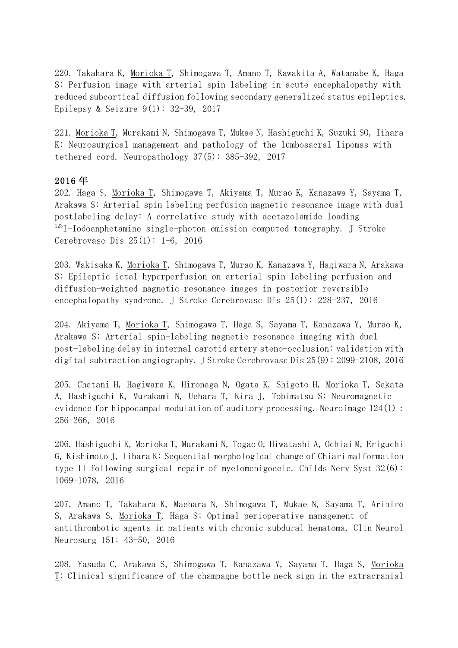220. Takahara K, Morioka T, Shimogawa T, Amano T, Kawakita A, Watanabe K, Haga S: Perfusion image with arterial spin labeling in acute encephalopathy with reduced subcortical diffusion following secondary generalized status epileptics. Epilepsy & Seizure  $9(1)$ : 32-39, 2017

221. Morioka T, Murakami N, Shimogawa T, Mukae N, Hashiguchi K, Suzuki SO, Iihara K: Neurosurgical management and pathology of the lumbosacral lipomas with tethered cord. Neuropathology  $37(5)$ :  $385-392$ , 2017

## 2016 年

202. Haga S, Morioka T, Shimogawa T, Akiyama T, Murao K, Kanazawa Y, Sayama T, Arakawa S: Arterial spin labeling perfusion magnetic resonance image with dual postlabeling delay: A correlative study with acetazolamide loading  $123$ I-Iodoanphetamine single-photon emission computed tomography. J Stroke Cerebrovasc Dis  $25(1): 1-6$ , 2016

203. Wakisaka K, Morioka T, Shimogawa T, Murao K, Kanazawa Y, Hagiwara N, Arakawa S: Epileptic ictal hyperperfusion on arterial spin labeling perfusion and diffusion-weighted magnetic resonance images in posterior reversible encephalopathy syndrome. J Stroke Cerebrovasc Dis  $25(1)$ :  $228-237$ , 2016

204. Akiyama T, Morioka T, Shimogawa T, Haga S, Sayama T, Kanazawa Y, Murao K, Arakawa S: Arterial spin-labeling magnetic resonance imaging with dual post-labeling delay in internal carotid artery steno-occlusion: validation with digital subtraction angiography. J Stroke Cerebrovasc Dis  $25(9)$ : 2099-2108, 2016

205. Chatani H, Hagiwara K, Hironaga N, Ogata K, Shigeto H, Morioka T, Sakata A, Hashiguchi K, Murakami N, Uehara T, Kira J, Tobimatsu S: Neuromagnetic evidence for hippocampal modulation of auditory processing. Neuroimage  $124(1)$ : 256-266, 2016

206. Hashiguchi K, Morioka T, Murakami N, Togao O, Hiwatashi A, Ochiai M, Eriguchi G, Kishimoto J, Iihara K: Sequential morphological change of Chiari malformation type II following surgical repair of myelomenigocele. Childs Nerv Syst  $32(6)$ : 1069-1078, 2016

207. Amano T, Takahara K, Maehara N, Shimogawa T, Mukae N, Sayama T, Arihiro S, Arakawa S, Morioka T, Haga S: Optimal perioperative management of antithrombotic agents in patients with chronic subdural hematoma. Clin Neurol Neurosurg 151: 43-50, 2016

208. Yasuda C, Arakawa S, Shimogawa T, Kanazawa Y, Sayama T, Haga S, Morioka T: Clinical significance of the champagne bottle neck sign in the extracranial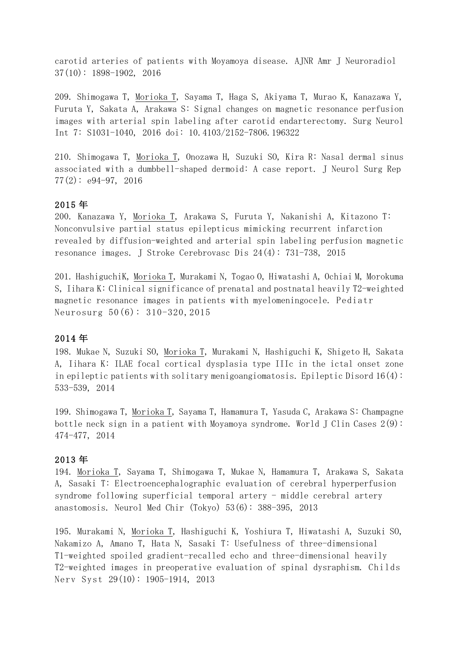carotid arteries of patients with Moyamoya disease. AJNR Amr J Neuroradiol  $37(10): 1898-1902, 2016$ 

209. Shimogawa T, Morioka T, Sayama T, Haga S, Akiyama T, Murao K, Kanazawa Y, Furuta Y, Sakata A, Arakawa S: Signal changes on magnetic resonance perfusion images with arterial spin labeling after carotid endarterectomy. Surg Neurol Int 7: S1031-1040, 2016 doi: 10.4103/2152-7806.196322

210. Shimogawa T, Morioka T, Onozawa H, Suzuki SO, Kira R: Nasal dermal sinus associated with a dumbbell-shaped dermoid: A case report. J Neurol Surg Rep  $77(2): e94-97, 2016$ 

## 2015 年

200. Kanazawa Y, Morioka T, Arakawa S, Furuta Y, Nakanishi A, Kitazono T: Nonconvulsive partial status epilepticus mimicking recurrent infarction revealed by diffusion-weighted and arterial spin labeling perfusion magnetic resonance images. J Stroke Cerebrovasc Dis  $24(4)$ : 731-738, 2015

201. HashiguchiK, Morioka T, Murakami N, Togao O, Hiwatashi A, Ochiai M, Morokuma S, Iihara K: Clinical significance of prenatal and postnatal heavily T2-weighted magnetic resonance images in patients with myelomeningocele. Pediatr Neurosurg 50(6): 310-320, 2015

### 2014 年

198. Mukae N, Suzuki SO, Morioka T, Murakami N, Hashiguchi K, Shigeto H, Sakata A, Iihara K: ILAE focal cortical dysplasia type IIIc in the ictal onset zone in epileptic patients with solitary menigoangiomatosis. Epileptic Disord  $16(4)$ : 533-539, 2014

199. Shimogawa T, Morioka T, Sayama T, Hamamura T, Yasuda C, Arakawa S: Champagne bottle neck sign in a patient with Moyamoya syndrome. World J Clin Cases  $2(9)$ : 474-477, 2014

#### 2013 年

194. Morioka T, Sayama T, Shimogawa T, Mukae N, Hamamura T, Arakawa S, Sakata A, Sasaki T: Electroencephalographic evaluation of cerebral hyperperfusion syndrome following superficial temporal artery - middle cerebral artery anastomosis. Neurol Med Chir (Tokyo)  $53(6)$ :  $388-395$ , 2013

195. Murakami N, Morioka T, Hashiguchi K, Yoshiura T, Hiwatashi A, Suzuki SO, Nakamizo A, Amano T, Hata N, Sasaki T: Usefulness of three-dimensional T1-weighted spoiled gradient-recalled echo and three-dimensional heavily T2-weighted images in preoperative evaluation of spinal dysraphism. Childs Nerv Syst 29(10): 1905-1914, 2013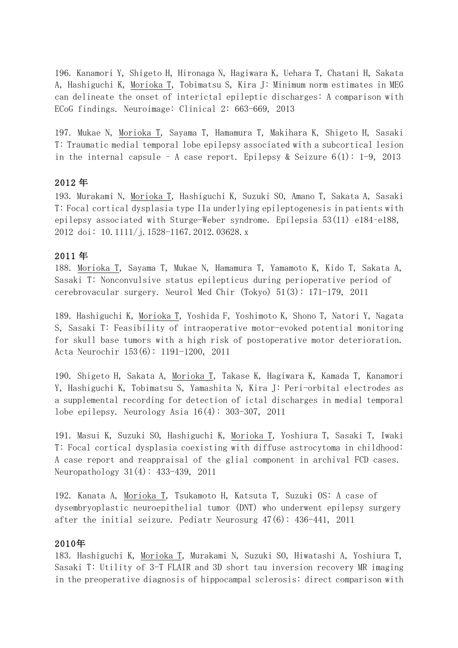196. Kanamori Y, Shigeto H, Hironaga N, Hagiwara K, Uehara T, Chatani H, Sakata A, Hashiguchi K, Morioka T, Tobimatsu S, Kira J: Minimum norm estimates in MEG can delineate the onset of interictal epileptic discharges: A comparison with ECoG findings. Neuroimage: Clinical 2: 663-669, 2013

197. Mukae N, Morioka T, Sayama T, Hamamura T, Makihara K, Shigeto H, Sasaki T: Traumatic medial temporal lobe epilepsy associated with a subcortical lesion in the internal capsule - A case report. Epilepsy & Seizure  $6(1)$ : 1-9, 2013

## 2012 年

193. Murakami N, Morioka T, Hashiguchi K, Suzuki SO, Amano T, Sakata A, Sasaki T: Focal cortical dysplasia type IIa underlying epileptogenesis in patients with epilepsy associated with Sturge-Weber syndrome. Epilepsia 53(11) e184-e188, 2012 doi: 10.1111/j.1528-1167.2012.03628.x

## 2011 年

188. Morioka T, Sayama T, Mukae N, Hamamura T, Yamamoto K, Kido T, Sakata A, Sasaki T: Nonconvulsive status epilepticus during perioperative period of cerebrovacular surgery. Neurol Med Chir (Tokyo) 51(3): 171-179, 2011

189. Hashiguchi K, Morioka T, Yoshida F, Yoshimoto K, Shono T, Natori Y, Nagata S, Sasaki T: Feasibility of intraoperative motor-evoked potential monitoring for skull base tumors with a high risk of postoperative motor deterioration. Acta Neurochir 153(6): 1191-1200, 2011

190. Shigeto H, Sakata A, Morioka T, Takase K, Hagiwara K, Kamada T, Kanamori Y, Hashiguchi K, Tobimatsu S, Yamashita N, Kira J: Peri-orbital electrodes as a supplemental recording for detection of ictal discharges in medial temporal lobe epilepsy. Neurology Asia  $16(4)$ : 303-307, 2011

191. Masui K, Suzuki SO, Hashiguchi K, Morioka T, Yoshiura T, Sasaki T, Iwaki T: Focal cortical dysplasia coexisting with diffuse astrocytoma in childhood: A case report and reappraisal of the glial component in archival FCD cases. Neuropathology  $31(4)$ :  $433-439$ , 2011

192. Kanata A, Morioka T, Tsukamoto H, Katsuta T, Suzuki OS: A case of dysembryoplastic neuroepithelial tumor (DNT) who underwent epilepsy surgery after the initial seizure. Pediatr Neurosurg  $47(6)$ :  $436-441$ , 2011

## 2010年

183. Hashiguchi K, Morioka T, Murakami N, Suzuki SO, Hiwatashi A, Yoshiura T, Sasaki T: Utility of 3-T FLAIR and 3D short tau inversion recovery MR imaging in the preoperative diagnosis of hippocampal sclerosis: direct comparison with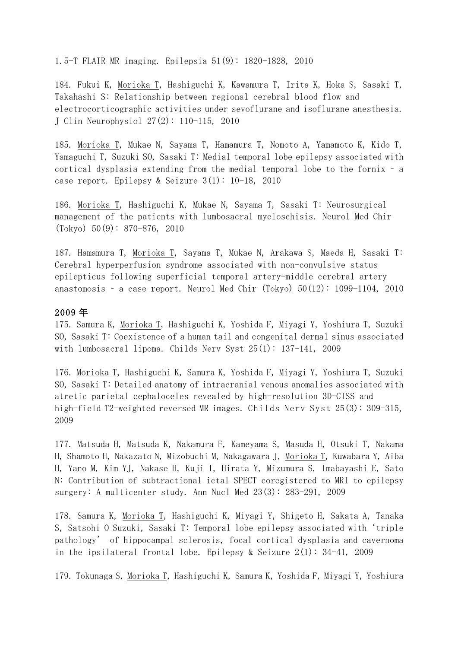1.5-T FLAIR MR imaging. Epilepsia 51(9): 1820-1828, 2010

184. Fukui K, Morioka T, Hashiguchi K, Kawamura T, Irita K, Hoka S, Sasaki T, Takahashi S: Relationship between regional cerebral blood flow and electrocorticographic activities under sevoflurane and isoflurane anesthesia. J Clin Neurophysiol 27(2): 110-115, 2010

185. <u>Morioka T,</u> Mukae N, Sayama T, Hamamura T, Nomoto A, Yamamoto K, Kido T, Yamaguchi T, Suzuki SO, Sasaki T: Medial temporal lobe epilepsy associated with cortical dysplasia extending from the medial temporal lobe to the fornix - a case report. Epilepsy & Seizure  $3(1)$ : 10-18, 2010

186. Morioka T, Hashiguchi K, Mukae N, Sayama T, Sasaki T: Neurosurgical management of the patients with lumbosacral myeloschisis. Neurol Med Chir  $(Tokyo)$  50(9): 870-876, 2010

187. Hamamura T, Morioka T, Sayama T, Mukae N, Arakawa S, Maeda H, Sasaki T: Cerebral hyperperfusion syndrome associated with non-convulsive status epilepticus following superficial temporal artery-middle cerebral artery anastomosis - a case report. Neurol Med Chir (Tokyo)  $50(12)$ : 1099-1104, 2010

### 2009 年

175. Samura K, Morioka T, Hashiguchi K, Yoshida F, Miyagi Y, Yoshiura T, Suzuki SO, Sasaki T: Coexistence of a human tail and congenital dermal sinus associated with lumbosacral lipoma. Childs Nerv Syst  $25(1)$ : 137-141, 2009

176. Morioka T, Hashiguchi K, Samura K, Yoshida F, Miyagi Y, Yoshiura T, Suzuki SO, Sasaki T: Detailed anatomy of intracranial venous anomalies associated with atretic parietal cephaloceles revealed by high-resolution 3D-CISS and high-field T2-weighted reversed MR images. Childs Nerv Syst 25(3): 309-315, 2009

177. Matsuda H, Matsuda K, Nakamura F, Kameyama S, Masuda H, Otsuki T, Nakama H, Shamoto H, Nakazato N, Mizobuchi M, Nakagawara J, Morioka T, Kuwabara Y, Aiba H, Yano M, Kim YJ, Nakase H, Kuji I, Hirata Y, Mizumura S, Imabayashi E, Sato N: Contribution of subtractional ictal SPECT coregistered to MRI to epilepsy surgery: A multicenter study. Ann Nucl Med  $23(3)$ :  $283-291$ ,  $2009$ 

178. Samura K, Morioka T, Hashiguchi K, Miyagi Y, Shigeto H, Sakata A, Tanaka S, Satsohi O Suzuki, Sasaki T: Temporal lobe epilepsy associated with 'triple pathology' of hippocampal sclerosis, focal cortical dysplasia and cavernoma in the ipsilateral frontal lobe. Epilepsy & Seizure  $2(1)$ : 34-41, 2009

179. Tokunaga S, Morioka T, Hashiguchi K, Samura K, Yoshida F, Miyagi Y, Yoshiura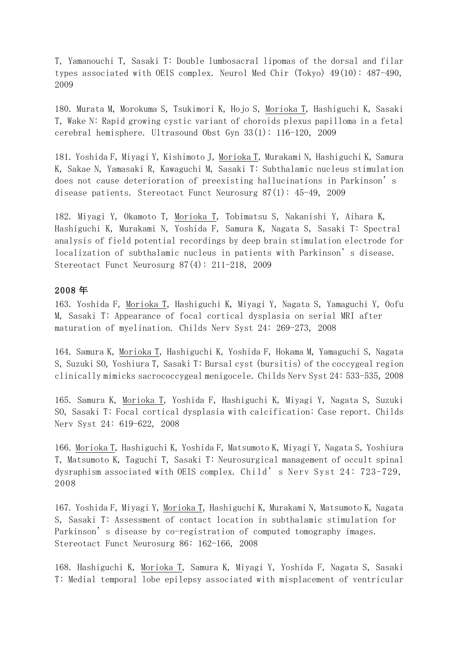T, Yamanouchi T, Sasaki T: Double lumbosacral lipomas of the dorsal and filar types associated with OEIS complex. Neurol Med Chir (Tokyo)  $49(10)$ :  $487-490$ , 2009

180. Murata M, Morokuma S, Tsukimori K, Hojo S, Morioka T, Hashiguchi K, Sasaki T, Wake N: Rapid growing cystic variant of choroids plexus papilloma in a fetal cerebral hemisphere. Ultrasound Obst Gyn  $33(1)$ : 116-120, 2009

181. Yoshida F, Miyagi Y, Kishimoto J, Morioka T, Murakami N, Hashiguchi K, Samura K, Sakae N, Yamasaki R, Kawaguchi M, Sasaki T: Subthalamic nucleus stimulation does not cause deterioration of preexisting hallucinations in Parkinson's disease patients. Stereotact Funct Neurosurg  $87(1)$ :  $45-49$ , 2009

182. Miyagi Y, Okamoto T, Morioka T, Tobimatsu S, Nakanishi Y, Aihara K, Hashiguchi K, Murakami N, Yoshida F, Samura K, Nagata S, Sasaki T: Spectral analysis of field potential recordings by deep brain stimulation electrode for localization of subthalamic nucleus in patients with Parkinson's disease. Stereotact Funct Neurosurg  $87(4)$ : 211-218, 2009

## 2008 年

163. Yoshida F, Morioka T, Hashiguchi K, Miyagi Y, Nagata S, Yamaguchi Y, Oofu M, Sasaki T: Appearance of focal cortical dysplasia on serial MRI after maturation of myelination. Childs Nerv Syst 24: 269-273, 2008

164. Samura K, Morioka T, Hashiguchi K, Yoshida F, Hokama M, Yamaguchi S, Nagata S, Suzuki SO, Yoshiura T, Sasaki T: Bursal cyst (bursitis) of the coccygeal region clinically mimicks sacrococcygeal menigocele. Childs Nerv Syst 24: 533-535, 2008

165. Samura K, Morioka T, Yoshida F, Hashiguchi K, Miyagi Y, Nagata S, Suzuki SO, Sasaki T: Focal cortical dysplasia with calcification: Case report. Childs Nerv Syst 24: 619-622, 2008

166. Morioka T, Hashiguchi K, Yoshida F, Matsumoto K, Miyagi Y, Nagata S, Yoshiura T, Matsumoto K, Taguchi T, Sasaki T: Neurosurgical management of occult spinal dysraphism associated with OEIS complex. Child' s Nerv Syst 24: 723-729, 2008

167. Yoshida F, Miyagi Y, Morioka T, Hashiguchi K, Murakami N, Matsumoto K, Nagata S, Sasaki T: Assessment of contact location in subthalamic stimulation for Parkinson's disease by co-registration of computed tomography images. Stereotact Funct Neurosurg 86: 162-166, 2008

168. Hashiguchi K, Morioka T, Samura K, Miyagi Y, Yoshida F, Nagata S, Sasaki T: Medial temporal lobe epilepsy associated with misplacement of ventricular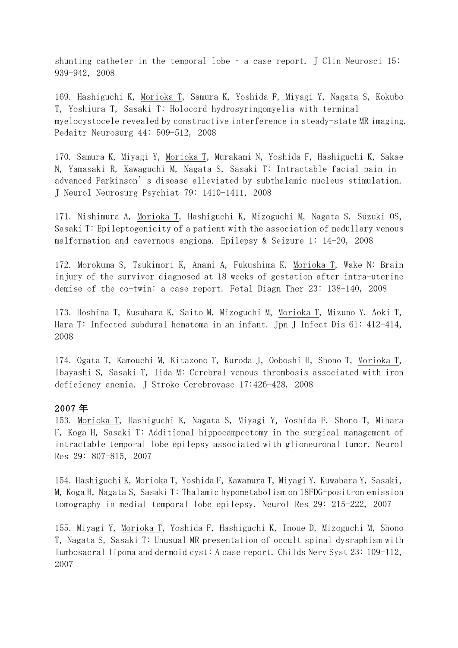shunting catheter in the temporal lobe  $-$  a case report. J Clin Neurosci 15: 939-942, 2008

169. Hashiguchi K, Morioka T, Samura K, Yoshida F, Miyagi Y, Nagata S, Kokubo T, Yoshiura T, Sasaki T: Holocord hydrosyringomyelia with terminal myelocystocele revealed by constructive interference in steady-state MR imaging. Pedaitr Neurosurg 44: 509-512, 2008

170. Samura K, Miyagi Y, Morioka T, Murakami N, Yoshida F, Hashiguchi K, Sakae N, Yamasaki R, Kawaguchi M, Nagata S, Sasaki T: Intractable facial pain in advanced Parkinson's disease alleviated by subthalamic nucleus stimulation. J Neurol Neurosurg Psychiat 79: 1410-1411, 2008

171. Nishimura A, Morioka T, Hashiguchi K, Mizoguchi M, Nagata S, Suzuki OS, Sasaki T: Epileptogenicity of a patient with the association of medullary venous malformation and cavernous angioma. Epilepsy & Seizure 1:  $14-20$ , 2008

172. Morokuma S, Tsukimori K, Anami A, Fukushima K. Morioka T, Wake N: Brain injury of the survivor diagnosed at 18 weeks of gestation after intra-uterine demise of the co-twin: a case report. Fetal Diagn Ther 23: 138-140, 2008

173. Hoshina T, Kusuhara K, Saito M, Mizoguchi M, Morioka T, Mizuno Y, Aoki T, Hara T: Infected subdural hematoma in an infant. Jpn J Infect Dis 61: 412-414, 2008

174. Ogata T, Kamouchi M, Kitazono T, Kuroda J, Ooboshi H, Shono T, Morioka T, Ibayashi S, Sasaki T, Iida M: Cerebral venous thrombosis associated with iron deficiency anemia. J Stroke Cerebrovasc 17:426-428, 2008

## 2007 年

153. Morioka T, Hashiguchi K, Nagata S, Miyagi Y, Yoshida F, Shono T, Mihara F, Koga H, Sasaki T: Additional hippocampectomy in the surgical management of intractable temporal lobe epilepsy associated with glioneuronal tumor. Neurol Res 29: 807-815, 2007

154. Hashiguchi K, Morioka T, Yoshida F, Kawamura T, Miyagi Y, Kuwabara Y, Sasaki, M, Koga H, Nagata S, Sasaki T: Thalamic hypometabolism on 18FDG-positron emission tomography in medial temporal lobe epilepsy. Neurol Res 29: 215-222, 2007

155. Miyagi Y, Morioka T, Yoshida F, Hashiguchi K, Inoue D, Mizoguchi M, Shono T, Nagata S, Sasaki T: Unusual MR presentation of occult spinal dysraphism with lumbosacral lipoma and dermoid cyst: A case report. Childs Nerv Syst 23: 109-112, 2007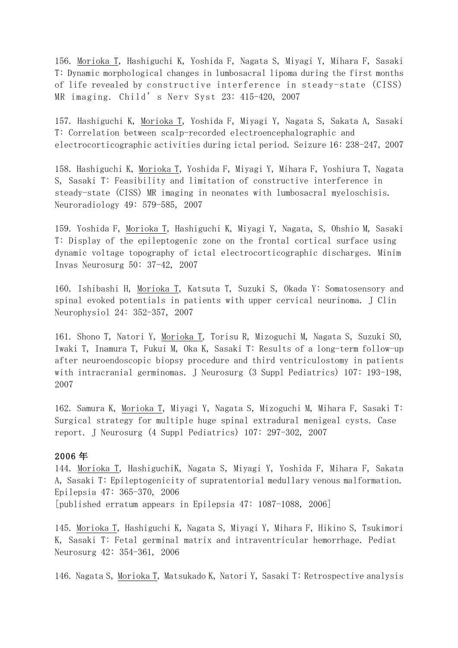156. Morioka T, Hashiguchi K, Yoshida F, Nagata S, Miyagi Y, Mihara F, Sasaki T: Dynamic morphological changes in lumbosacral lipoma during the first months of life revealed by constructive interference in steady-state (CISS) MR imaging. Child' s Nerv Syst  $23:$  415-420, 2007

157. Hashiguchi K, <u>Morioka T</u>, Yoshida F, Miyagi Y, Nagata S, Sakata A, Sasaki T: Correlation between scalp-recorded electroencephalographic and electrocorticographic activities during ictal period. Seizure 16: 238-247, 2007

158. Hashiguchi K, Morioka T, Yoshida F, Miyagi Y, Mihara F, Yoshiura T, Nagata S, Sasaki T: Feasibility and limitation of constructive interference in steady-state (CISS) MR imaging in neonates with lumbosacral myeloschisis. Neuroradiology 49: 579-585, 2007

159. Yoshida F, Morioka T, Hashiguchi K, Miyagi Y, Nagata, S, Ohshio M, Sasaki T: Display of the epileptogenic zone on the frontal cortical surface using dynamic voltage topography of ictal electrocorticographic discharges. Minim Invas Neurosurg 50: 37-42, 2007 

160. Ishibashi H, Morioka T, Katsuta T, Suzuki S, Okada Y: Somatosensory and spinal evoked potentials in patients with upper cervical neurinoma. J Clin Neurophysiol 24: 352-357, 2007

161. Shono T, Natori Y, Morioka T, Torisu R, Mizoguchi M, Nagata S, Suzuki SO, Iwaki T, Inamura T, Fukui M, Oka K, Sasaki T: Results of a long-term follow-up after neuroendoscopic biopsy procedure and third ventriculostomy in patients with intracranial germinomas. J Neurosurg (3 Suppl Pediatrics) 107: 193-198, 2007

162. Samura K, Morioka T, Miyagi Y, Nagata S, Mizoguchi M, Mihara F, Sasaki T: Surgical strategy for multiple huge spinal extradural menigeal cysts. Case report. J Neurosurg (4 Suppl Pediatrics) 107: 297-302, 2007

#### 2006 年

144. Morioka T, HashiguchiK, Nagata S, Miyagi Y, Yoshida F, Mihara F, Sakata A, Sasaki T: Epileptogenicity of supratentorial medullary venous malformation. Epilepsia 47: 365-370, 2006 [published erratum appears in Epilepsia 47: 1087-1088, 2006]

145. Morioka T, Hashiguchi K, Nagata S, Miyagi Y, Mihara F, Hikino S, Tsukimori K, Sasaki T: Fetal germinal matrix and intraventricular hemorrhage. Pediat Neurosurg 42: 354-361, 2006

146. Nagata S, Morioka T, Matsukado K, Natori Y, Sasaki T: Retrospective analysis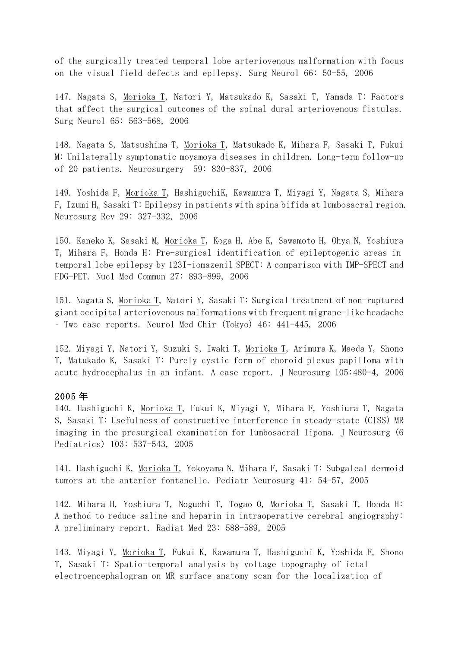of the surgically treated temporal lobe arteriovenous malformation with focus on the visual field defects and epilepsy. Surg Neurol 66: 50-55, 2006

147. Nagata S, Morioka T, Natori Y, Matsukado K, Sasaki T, Yamada T: Factors that affect the surgical outcomes of the spinal dural arteriovenous fistulas. Surg Neurol 65: 563-568, 2006

148. Nagata S, Matsushima T, Morioka T, Matsukado K, Mihara F, Sasaki T, Fukui M: Unilaterally symptomatic moyamoya diseases in children. Long-term follow-up of 20 patients. Neurosurgery 59: 830-837, 2006

149. Yoshida F, Morioka T, HashiguchiK, Kawamura T, Miyagi Y, Nagata S, Mihara F, Izumi H, Sasaki T: Epilepsy in patients with spina bifida at lumbosacral region. Neurosurg Rev 29: 327-332, 2006

150. Kaneko K, Sasaki M, Morioka T, Koga H, Abe K, Sawamoto H, Ohya N, Yoshiura T, Mihara F, Honda H: Pre-surgical identification of epileptogenic areas in temporal lobe epilepsy by 123I-iomazenil SPECT: A comparison with IMP-SPECT and FDG-PET. Nucl Med Commun 27: 893-899, 2006

151. Nagata S, Morioka T, Natori Y, Sasaki T: Surgical treatment of non-ruptured giant occipital arteriovenous malformations with frequent migrane-like headache – Two case reports. Neurol Med Chir (Tokyo) 46: 441-445, 2006

152. Miyagi Y, Natori Y, Suzuki S, Iwaki T, Morioka T, Arimura K, Maeda Y, Shono T, Matukado K, Sasaki T: Purely cystic form of choroid plexus papilloma with acute hydrocephalus in an infant. A case report. J Neurosurg 105:480-4, 2006

#### 2005 年

140. Hashiguchi K, Morioka T, Fukui K, Miyagi Y, Mihara F, Yoshiura T, Nagata S, Sasaki T: Usefulness of constructive interference in steady-state (CISS) MR imaging in the presurgical examination for lumbosacral lipoma. J Neurosurg (6 Pediatrics) 103: 537-543, 2005

141. Hashiguchi K, Morioka T, Yokoyama N, Mihara F, Sasaki T: Subgaleal dermoid tumors at the anterior fontanelle. Pediatr Neurosurg 41: 54-57, 2005

142. Mihara H, Yoshiura T, Noguchi T, Togao O, Morioka T, Sasaki T, Honda H: A method to reduce saline and heparin in intraoperative cerebral angiography: A preliminary report. Radiat Med 23: 588-589, 2005

143. Miyagi Y, Morioka T, Fukui K, Kawamura T, Hashiguchi K, Yoshida F, Shono T, Sasaki T: Spatio-temporal analysis by voltage topography of ictal electroencephalogram on MR surface anatomy scan for the localization of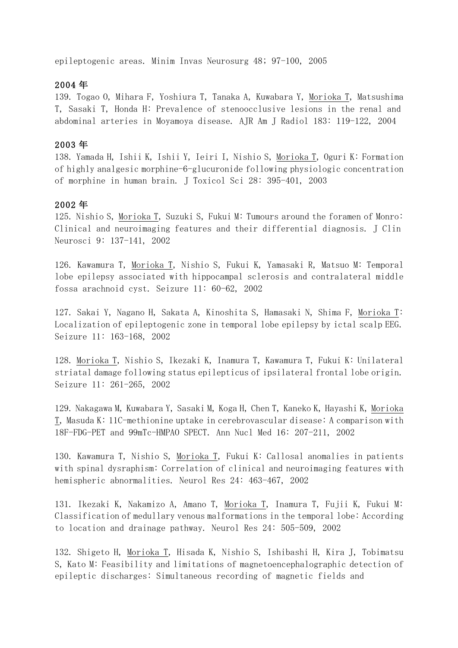epileptogenic areas. Minim Invas Neurosurg 48; 97-100, 2005

### 2004 年

139. Togao O, Mihara F, Yoshiura T, Tanaka A, Kuwabara Y, Morioka T, Matsushima T, Sasaki T, Honda H: Prevalence of stenoocclusive lesions in the renal and abdominal arteries in Moyamoya disease. AJR Am J Radiol 183: 119-122, 2004

#### 2003 年

138. Yamada H, Ishii K, Ishii Y, Ieiri I, Nishio S, Morioka T, Oguri K: Formation of highly analgesic morphine-6-glucuronide following physiologic concentration of morphine in human brain. J Toxicol Sci 28: 395-401, 2003

### 2002 年

125. Nishio S, Morioka T, Suzuki S, Fukui M: Tumours around the foramen of Monro: Clinical and neuroimaging features and their differential diagnosis. J Clin Neurosci 9: 137-141, 2002

126. Kawamura T, Morioka T, Nishio S, Fukui K, Yamasaki R, Matsuo M: Temporal lobe epilepsy associated with hippocampal sclerosis and contralateral middle fossa arachnoid cyst. Seizure 11: 60-62, 2002

127. Sakai Y, Nagano H, Sakata A, Kinoshita S, Hamasaki N, Shima F, Morioka T: Localization of epileptogenic zone in temporal lobe epilepsy by ictal scalp EEG. Seizure 11: 163-168, 2002

128. Morioka T, Nishio S, Ikezaki K, Inamura T, Kawamura T, Fukui K: Unilateral striatal damage following status epilepticus of ipsilateral frontal lobe origin. Seizure 11: 261-265, 2002

129. Nakagawa M, Kuwabara Y, Sasaki M, Koga H, Chen T, Kaneko K, Hayashi K, Morioka T, Masuda K: 11C-methionine uptake in cerebrovascular disease: A comparison with 18F-FDG-PET and 99mTc-HMPAO SPECT. Ann Nucl Med 16: 207-211, 2002

130. Kawamura T, Nishio S, Morioka T, Fukui K: Callosal anomalies in patients with spinal dysraphism: Correlation of clinical and neuroimaging features with hemispheric abnormalities. Neurol Res 24: 463-467, 2002

131. Ikezaki K, Nakamizo A, Amano T, Morioka T, Inamura T, Fujii K, Fukui M: Classification of medullary venous malformations in the temporal lobe: According to location and drainage pathway. Neurol Res 24: 505-509, 2002

132. Shigeto H, Morioka T, Hisada K, Nishio S, Ishibashi H, Kira J, Tobimatsu S, Kato M: Feasibility and limitations of magnetoencephalographic detection of epileptic discharges: Simultaneous recording of magnetic fields and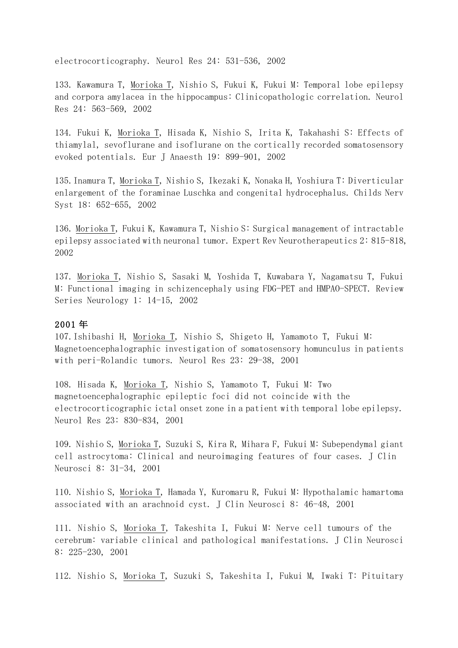electrocorticography. Neurol Res 24: 531-536, 2002

133. Kawamura T, Morioka T, Nishio S, Fukui K, Fukui M: Temporal lobe epilepsy and corpora amylacea in the hippocampus: Clinicopathologic correlation. Neurol Res 24: 563-569, 2002

134. Fukui K, Morioka T, Hisada K, Nishio S, Irita K, Takahashi S: Effects of thiamylal, sevoflurane and isoflurane on the cortically recorded somatosensory evoked potentials. Eur J Anaesth 19: 899-901, 2002

135.Inamura T, Morioka T, Nishio S, Ikezaki K, Nonaka H, Yoshiura T: Diverticular enlargement of the foraminae Luschka and congenital hydrocephalus. Childs Nerv Syst 18: 652-655, 2002

136. Morioka T, Fukui K, Kawamura T, Nishio S: Surgical management of intractable epilepsy associated with neuronal tumor. Expert Rev Neurotherapeutics 2: 815-818, 2002

137. Morioka T, Nishio S, Sasaki M, Yoshida T, Kuwabara Y, Nagamatsu T, Fukui M: Functional imaging in schizencephaly using FDG-PET and HMPAO-SPECT. Review Series Neurology 1: 14-15, 2002

### 2001 年

107.Ishibashi H, Morioka T, Nishio S, Shigeto H, Yamamoto T, Fukui M: Magnetoencephalographic investigation of somatosensory homunculus in patients with peri-Rolandic tumors. Neurol Res 23: 29-38, 2001

108. Hisada K, Morioka T, Nishio S, Yamamoto T, Fukui M: Two magnetoencephalographic epileptic foci did not coincide with the electrocorticographic ictal onset zone in a patient with temporal lobe epilepsy. Neurol Res 23: 830-834, 2001

109. Nishio S, Morioka T, Suzuki S, Kira R, Mihara F, Fukui M: Subependymal giant cell astrocytoma: Clinical and neuroimaging features of four cases. J Clin Neurosci 8: 31-34, 2001

110. Nishio S, Morioka T, Hamada Y, Kuromaru R, Fukui M: Hypothalamic hamartoma associated with an arachnoid cyst. J Clin Neurosci 8: 46-48, 2001

111. Nishio S, Morioka T, Takeshita I, Fukui M: Nerve cell tumours of the cerebrum: variable clinical and pathological manifestations. J Clin Neurosci 8: 225-230, 2001

112. Nishio S, Morioka T, Suzuki S, Takeshita I, Fukui M, Iwaki T: Pituitary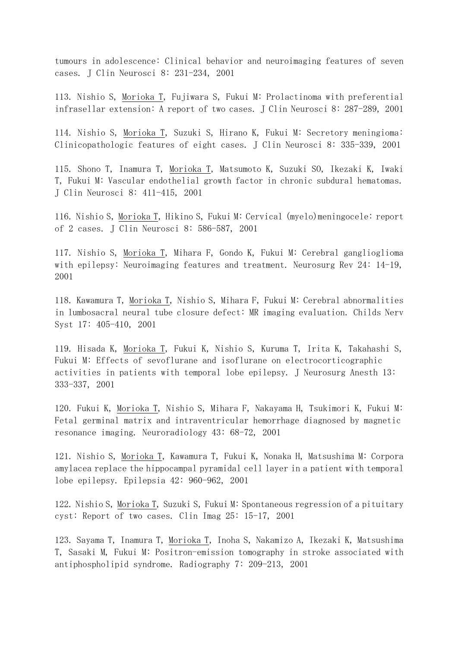tumours in adolescence: Clinical behavior and neuroimaging features of seven cases. J Clin Neurosci 8: 231-234, 2001

113. Nishio S, Morioka T, Fujiwara S, Fukui M: Prolactinoma with preferential infrasellar extension: A report of two cases. J Clin Neurosci 8: 287-289, 2001

114. Nishio S, Morioka T, Suzuki S, Hirano K, Fukui M: Secretory meningioma: Clinicopathologic features of eight cases. J Clin Neurosci 8: 335-339, 2001

115. Shono T, Inamura T, Morioka T, Matsumoto K, Suzuki SO, Ikezaki K, Iwaki T, Fukui M: Vascular endothelial growth factor in chronic subdural hematomas. J Clin Neurosci 8: 411-415, 2001

116. Nishio S, Morioka T, Hikino S, Fukui M: Cervical (myelo)meningocele: report of 2 cases. J Clin Neurosci 8: 586-587, 2001

117. Nishio S, Morioka T, Mihara F, Gondo K, Fukui M: Cerebral ganglioglioma with epilepsy: Neuroimaging features and treatment. Neurosurg Rev  $24: 14-19$ , 2001

118. Kawamura T, Morioka T, Nishio S, Mihara F, Fukui M: Cerebral abnormalities in lumbosacral neural tube closure defect: MR imaging evaluation. Childs Nerv Syst 17: 405-410, 2001

119. Hisada K, Morioka T, Fukui K, Nishio S, Kuruma T, Irita K, Takahashi S, Fukui M: Effects of sevoflurane and isoflurane on electrocorticographic activities in patients with temporal lobe epilepsy. J Neurosurg Anesth 13: 333-337, 2001

120. Fukui K, Morioka T, Nishio S, Mihara F, Nakayama H, Tsukimori K, Fukui M: Fetal germinal matrix and intraventricular hemorrhage diagnosed by magnetic resonance imaging. Neuroradiology 43: 68-72, 2001

121. Nishio S, Morioka T, Kawamura T, Fukui K, Nonaka H, Matsushima M: Corpora amylacea replace the hippocampal pyramidal cell layer in a patient with temporal lobe epilepsy. Epilepsia 42: 960-962, 2001

122. Nishio S, Morioka T, Suzuki S, Fukui M: Spontaneous regression of a pituitary cyst: Report of two cases. Clin Imag 25: 15-17, 2001

123. Sayama T, Inamura T, Morioka T, Inoha S, Nakamizo A, Ikezaki K, Matsushima T, Sasaki M, Fukui M: Positron-emission tomography in stroke associated with antiphospholipid syndrome. Radiography 7: 209-213, 2001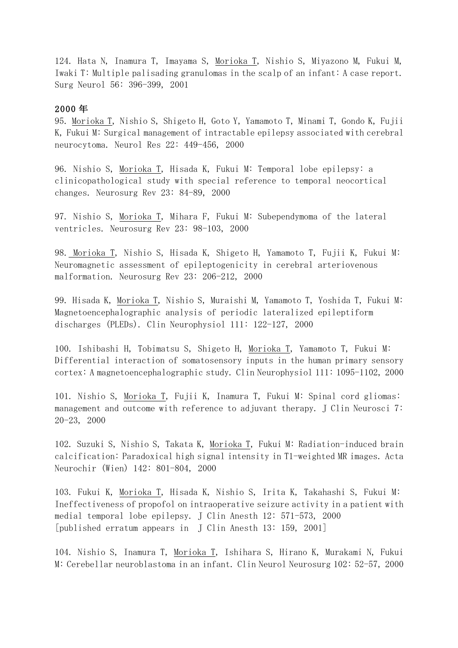124. Hata N, Inamura T, Imayama S, Morioka T, Nishio S, Miyazono M, Fukui M, Iwaki T: Multiple palisading granulomas in the scalp of an infant: A case report. Surg Neurol 56: 396-399, 2001

#### 2000 年

95. Morioka T, Nishio S, Shigeto H, Goto Y, Yamamoto T, Minami T, Gondo K, Fujii K, Fukui M: Surgical management of intractable epilepsy associated with cerebral neurocytoma. Neurol Res 22: 449-456, 2000

96. Nishio S, Morioka T, Hisada K, Fukui M: Temporal lobe epilepsy: a clinicopathological study with special reference to temporal neocortical changes. Neurosurg Rev 23: 84-89, 2000

97. Nishio S, Morioka T, Mihara F, Fukui M: Subependymoma of the lateral ventricles. Neurosurg Rev 23: 98-103, 2000

98. Morioka T, Nishio S, Hisada K, Shigeto H, Yamamoto T, Fujii K, Fukui M: Neuromagnetic assessment of epileptogenicity in cerebral arteriovenous malformation. Neurosurg Rev 23: 206-212, 2000

99. Hisada K, Morioka T, Nishio S, Muraishi M, Yamamoto T, Yoshida T, Fukui M: Magnetoencephalographic analysis of periodic lateralized epileptiform discharges (PLEDs). Clin Neurophysiol 111: 122-127, 2000

100. Ishibashi H, Tobimatsu S, Shigeto H, Morioka T, Yamamoto T, Fukui M: Differential interaction of somatosensory inputs in the human primary sensory cortex: A magnetoencephalographic study. Clin Neurophysiol 111: 1095-1102, 2000 

101. Nishio S, Morioka T, Fujii K, Inamura T, Fukui M: Spinal cord gliomas: management and outcome with reference to adjuvant therapy. J Clin Neurosci 7: 20-23, 2000

102. Suzuki S, Nishio S, Takata K, Morioka T, Fukui M: Radiation-induced brain calcification: Paradoxical high signal intensity in T1-weighted MR images. Acta Neurochir (Wien) 142: 801-804, 2000

103. Fukui K, Morioka T, Hisada K, Nishio S, Irita K, Takahashi S, Fukui M: Ineffectiveness of propofol on intraoperative seizure activity in a patient with medial temporal lobe epilepsy. J Clin Anesth 12: 571-573, 2000 [published erratum appears in J Clin Anesth 13: 159, 2001]

104. Nishio S, Inamura T, Morioka T, Ishihara S, Hirano K, Murakami N, Fukui M: Cerebellar neuroblastoma in an infant. Clin Neurol Neurosurg 102: 52-57, 2000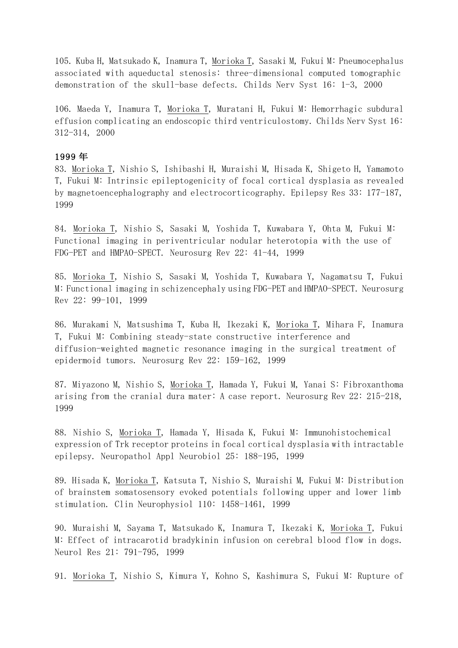105. Kuba H, Matsukado K, Inamura T, Morioka T, Sasaki M, Fukui M: Pneumocephalus associated with aqueductal stenosis: three-dimensional computed tomographic demonstration of the skull-base defects. Childs Nerv Syst 16: 1-3, 2000

106. Maeda Y, Inamura T, Morioka T, Muratani H, Fukui M: Hemorrhagic subdural effusion complicating an endoscopic third ventriculostomy. Childs Nerv Syst 16: 312-314, 2000

## 1999 年

83. Morioka T, Nishio S, Ishibashi H, Muraishi M, Hisada K, Shigeto H, Yamamoto T, Fukui M: Intrinsic epileptogenicity of focal cortical dysplasia as revealed by magnetoencephalography and electrocorticography. Epilepsy Res 33: 177-187, 1999

84. Morioka T, Nishio S, Sasaki M, Yoshida T, Kuwabara Y, Ohta M, Fukui M: Functional imaging in periventricular nodular heterotopia with the use of FDG-PET and HMPAO-SPECT. Neurosurg Rev 22: 41-44, 1999

85. Morioka T, Nishio S, Sasaki M, Yoshida T, Kuwabara Y, Nagamatsu T, Fukui M: Functional imaging in schizencephaly using FDG-PET and HMPAO-SPECT. Neurosurg Rev 22: 99-101, 1999

86. Murakami N, Matsushima T, Kuba H, Ikezaki K, Morioka T, Mihara F, Inamura T, Fukui M: Combining steady-state constructive interference and diffusion-weighted magnetic resonance imaging in the surgical treatment of epidermoid tumors. Neurosurg Rev 22: 159-162, 1999

87. Miyazono M, Nishio S, Morioka T, Hamada Y, Fukui M, Yanai S: Fibroxanthoma arising from the cranial dura mater: A case report. Neurosurg Rev 22: 215-218, 1999

88. Nishio S, Morioka T, Hamada Y, Hisada K, Fukui M: Immunohistochemical expression of Trk receptor proteins in focal cortical dysplasia with intractable epilepsy. Neuropathol Appl Neurobiol 25: 188-195, 1999

89. Hisada K, Morioka T, Katsuta T, Nishio S, Muraishi M, Fukui M: Distribution of brainstem somatosensory evoked potentials following upper and lower limb stimulation. Clin Neurophysiol 110: 1458-1461, 1999

90. Muraishi M, Sayama T, Matsukado K, Inamura T, Ikezaki K, Morioka T, Fukui M: Effect of intracarotid bradykinin infusion on cerebral blood flow in dogs. Neurol Res 21: 791-795, 1999

91. Morioka T, Nishio S, Kimura Y, Kohno S, Kashimura S, Fukui M: Rupture of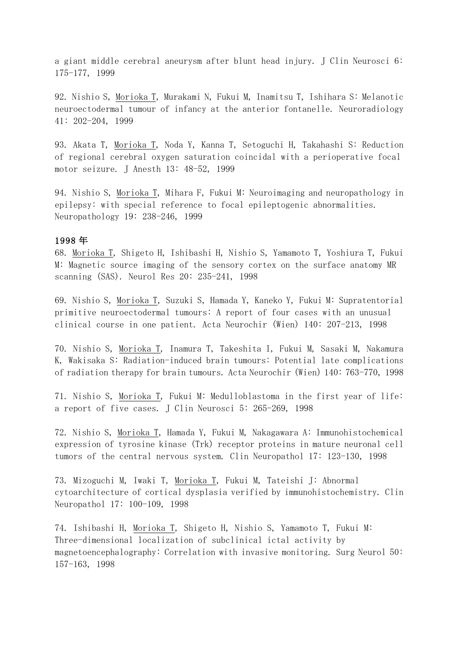a giant middle cerebral aneurysm after blunt head injury. J Clin Neurosci 6: 175-177, 1999

92. Nishio S, Morioka T, Murakami N, Fukui M, Inamitsu T, Ishihara S: Melanotic neuroectodermal tumour of infancy at the anterior fontanelle. Neuroradiology 41: 202-204, 1999

93. Akata T, Morioka T, Noda Y, Kanna T, Setoguchi H, Takahashi S: Reduction of regional cerebral oxygen saturation coincidal with a perioperative focal motor seizure. J Anesth 13: 48-52, 1999

94. Nishio S, Morioka T, Mihara F, Fukui M: Neuroimaging and neuropathology in epilepsy: with special reference to focal epileptogenic abnormalities. Neuropathology 19: 238-246, 1999

#### 1998 年

68. Morioka T, Shigeto H, Ishibashi H, Nishio S, Yamamoto T, Yoshiura T, Fukui M: Magnetic source imaging of the sensory cortex on the surface anatomy MR scanning (SAS). Neurol Res 20: 235-241, 1998

69. Nishio S, Morioka T, Suzuki S, Hamada Y, Kaneko Y, Fukui M: Supratentorial primitive neuroectodermal tumours: A report of four cases with an unusual clinical course in one patient. Acta Neurochir (Wien) 140: 207-213, 1998

70. Nishio S, Morioka T, Inamura T, Takeshita I, Fukui M, Sasaki M, Nakamura K, Wakisaka S: Radiation-induced brain tumours: Potential late complications of radiation therapy for brain tumours. Acta Neurochir (Wien) 140: 763-770, 1998

71. Nishio S, Morioka T, Fukui M: Medulloblastoma in the first year of life: a report of five cases. J Clin Neurosci 5: 265-269, 1998

72. Nishio S, Morioka T, Hamada Y, Fukui M, Nakagawara A: Immunohistochemical expression of tyrosine kinase (Trk) receptor proteins in mature neuronal cell tumors of the central nervous system. Clin Neuropathol 17: 123-130, 1998

73. Mizoguchi M, Iwaki T, Morioka T, Fukui M, Tateishi J: Abnormal cytoarchitecture of cortical dysplasia verified by immunohistochemistry. Clin Neuropathol 17: 100-109, 1998

74. Ishibashi H, Morioka T, Shigeto H, Nishio S, Yamamoto T, Fukui M: Three-dimensional localization of subclinical ictal activity by magnetoencephalography: Correlation with invasive monitoring. Surg Neurol 50: 157-163, 1998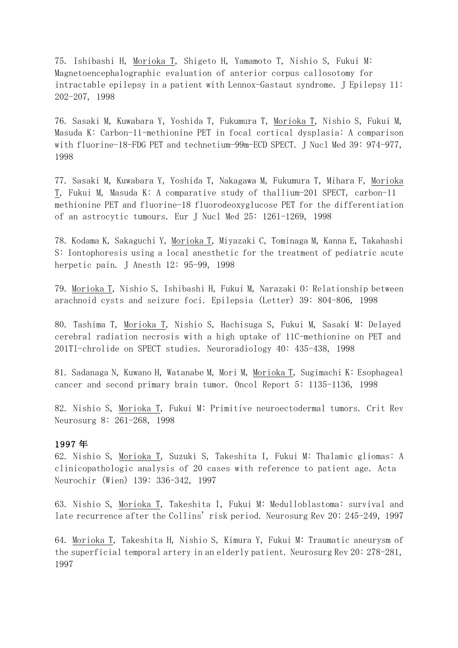75. Ishibashi H, Morioka T, Shigeto H, Yamamoto T, Nishio S, Fukui M: Magnetoencephalographic evaluation of anterior corpus callosotomy for  $intractable$  epilepsy in a patient with Lennox-Gastaut syndrome. J Epilepsy 11: 202-207, 1998

76. Sasaki M, Kuwabara Y, Yoshida T, Fukumura T, Morioka T, Nishio S, Fukui M, Masuda K: Carbon-11-methionine PET in focal cortical dysplasia: A comparison with fluorine-18-FDG PET and technetium-99m-ECD SPECT. J Nucl Med 39: 974-977, 1998

77. Sasaki M, Kuwabara Y, Yoshida T, Nakagawa M, Fukumura T, Mihara F, Morioka T, Fukui M, Masuda K: A comparative study of thallium-201 SPECT, carbon-11 methionine PET and fluorine-18 fluorodeoxyglucose PET for the differentiation of an astrocytic tumours. Eur J Nucl Med 25: 1261-1269, 1998

78. Kodama K, Sakaguchi Y, Morioka T, Miyazaki C, Tominaga M, Kanna E, Takahashi S: Iontophoresis using a local anesthetic for the treatment of pediatric acute herpetic pain. J Anesth 12: 95-99, 1998

79. Morioka T, Nishio S, Ishibashi H, Fukui M, Narazaki O: Relationship between arachnoid cysts and seizure foci. Epilepsia (Letter) 39: 804-806, 1998

80. Tashima T, Morioka T, Nishio S, Hachisuga S, Fukui M, Sasaki M: Delayed cerebral radiation necrosis with a high uptake of 11C-methionine on PET and 201Tl-chrolide on SPECT studies. Neuroradiology 40: 435-438, 1998

81. Sadanaga N, Kuwano H, Watanabe M, Mori M, Morioka T, Sugimachi K: Esophageal cancer and second primary brain tumor. Oncol Report 5: 1135-1136, 1998

82. Nishio S, Morioka T, Fukui M: Primitive neuroectodermal tumors. Crit Rev Neurosurg 8: 261-268, 1998

#### 1997 年

62. Nishio S, Morioka T, Suzuki S, Takeshita I, Fukui M: Thalamic gliomas: A clinicopathologic analysis of 20 cases with reference to patient age. Acta Neurochir (Wien) 139: 336-342, 1997

63. Nishio S, Morioka T, Takeshita I, Fukui M: Medulloblastoma: survival and late recurrence after the Collins' risk period. Neurosurg Rev 20: 245-249, 1997

64. Morioka T, Takeshita H, Nishio S, Kimura Y, Fukui M: Traumatic aneurysm of the superficial temporal artery in an elderly patient. Neurosurg  $\text{Rev } 20$ : 278-281, 1997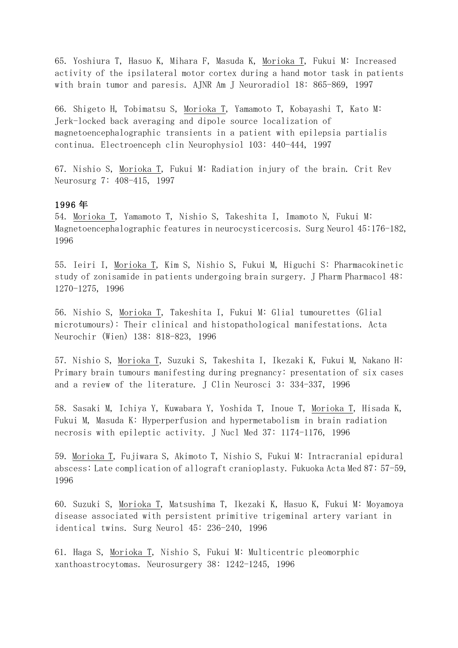65. Yoshiura T, Hasuo K, Mihara F, Masuda K, Morioka T, Fukui M: Increased activity of the ipsilateral motor cortex during a hand motor task in patients with brain tumor and paresis. AJNR Am J Neuroradiol 18: 865-869, 1997

66. Shigeto H, Tobimatsu S, Morioka T, Yamamoto T, Kobayashi T, Kato M: Jerk-locked back averaging and dipole source localization of magnetoencephalographic transients in a patient with epilepsia partialis continua. Electroenceph clin Neurophysiol 103: 440-444, 1997

67. Nishio S, Morioka T, Fukui M: Radiation injury of the brain. Crit Rev Neurosurg 7: 408-415, 1997

#### 1996 年

54. Morioka T, Yamamoto T, Nishio S, Takeshita I, Imamoto N, Fukui M: Magnetoencephalographic features in neurocysticercosis. Surg Neurol 45:176-182, 1996

55. Ieiri I, Morioka T, Kim S, Nishio S, Fukui M, Higuchi S: Pharmacokinetic study of zonisamide in patients undergoing brain surgery. J Pharm Pharmacol  $48$ : 1270-1275, 1996

56. Nishio S, Morioka T, Takeshita I, Fukui M: Glial tumourettes (Glial microtumours): Their clinical and histopathological manifestations. Acta Neurochir (Wien) 138: 818-823, 1996

57. Nishio S, Morioka T, Suzuki S, Takeshita I, Ikezaki K, Fukui M, Nakano H: Primary brain tumours manifesting during pregnancy: presentation of six cases and a review of the literature. J Clin Neurosci 3: 334-337, 1996

58. Sasaki M, Ichiya Y, Kuwabara Y, Yoshida T, Inoue T, Morioka T, Hisada K, Fukui M, Masuda K: Hyperperfusion and hypermetabolism in brain radiation necrosis with epileptic activity. J Nucl Med 37: 1174-1176, 1996

59. Morioka T, Fujiwara S, Akimoto T, Nishio S, Fukui M: Intracranial epidural abscess: Late complication of allograft cranioplasty. Fukuoka Acta Med 87: 57-59, 1996

60. Suzuki S, Morioka T, Matsushima T, Ikezaki K, Hasuo K, Fukui M: Moyamoya disease associated with persistent primitive trigeminal artery variant in identical twins. Surg Neurol 45: 236-240, 1996

61. Haga S, Morioka T, Nishio S, Fukui M: Multicentric pleomorphic xanthoastrocytomas. Neurosurgery 38: 1242-1245, 1996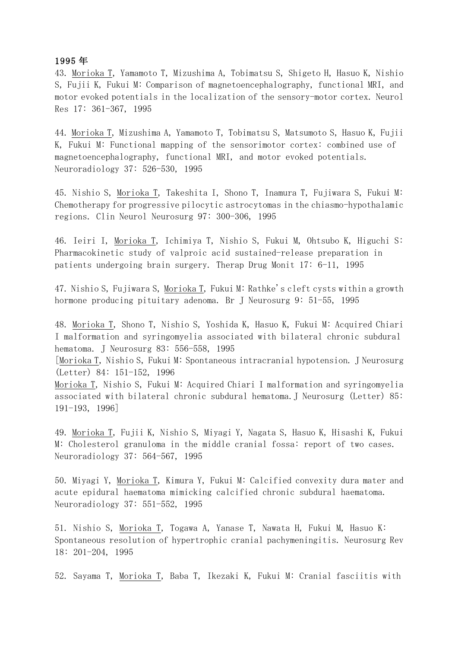#### 1995 年

43. Morioka T, Yamamoto T, Mizushima A, Tobimatsu S, Shigeto H, Hasuo K, Nishio S, Fujii K, Fukui M: Comparison of magnetoencephalography, functional MRI, and motor evoked potentials in the localization of the sensory-motor cortex. Neurol Res 17: 361-367, 1995

44. Morioka T, Mizushima A, Yamamoto T, Tobimatsu S, Matsumoto S, Hasuo K, Fujii K, Fukui M: Functional mapping of the sensorimotor cortex: combined use of magnetoencephalography, functional MRI, and motor evoked potentials. Neuroradiology 37: 526-530, 1995

45. Nishio S, Morioka T, Takeshita I, Shono T, Inamura T, Fujiwara S, Fukui M: Chemotherapy for progressive pilocytic astrocytomas in the chiasmo-hypothalamic regions. Clin Neurol Neurosurg 97: 300-306, 1995

46. Ieiri I, Morioka T, Ichimiya T, Nishio S, Fukui M, Ohtsubo K, Higuchi S: Pharmacokinetic study of valproic acid sustained-release preparation in patients undergoing brain surgery. Therap Drug Monit  $17: 6-11$ , 1995

47. Nishio S, Fujiwara S, Morioka T, Fukui M: Rathke's cleft cysts within a growth hormone producing pituitary adenoma. Br J Neurosurg 9: 51-55, 1995

48. Morioka T, Shono T, Nishio S, Yoshida K, Hasuo K, Fukui M: Acquired Chiari I malformation and syringomyelia associated with bilateral chronic subdural hematoma. J Neurosurg 83: 556-558, 1995

[Morioka T, Nishio S, Fukui M: Spontaneous intracranial hypotension. J Neurosurg (Letter) 84: 151-152, 1996

Morioka T, Nishio S, Fukui M: Acquired Chiari I malformation and syringomyelia associated with bilateral chronic subdural hematoma. J Neurosurg (Letter) 85: 191-193, 1996]

49. Morioka T, Fujii K, Nishio S, Miyagi Y, Nagata S, Hasuo K, Hisashi K, Fukui M: Cholesterol granuloma in the middle cranial fossa: report of two cases. Neuroradiology 37: 564-567, 1995

50. Miyagi Y, Morioka T, Kimura Y, Fukui M: Calcified convexity dura mater and acute epidural haematoma mimicking calcified chronic subdural haematoma. Neuroradiology 37: 551-552, 1995

51. Nishio S, Morioka T, Togawa A, Yanase T, Nawata H, Fukui M, Hasuo K: Spontaneous resolution of hypertrophic cranial pachymeningitis. Neurosurg Rev 18: 201-204, 1995

52. Sayama T, Morioka T, Baba T, Ikezaki K, Fukui M: Cranial fasciitis with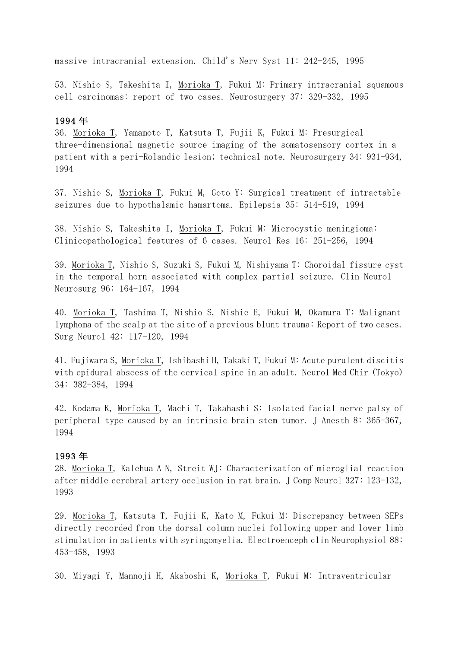massive intracranial extension. Child's Nerv Syst 11: 242-245, 1995

53. Nishio S, Takeshita I, Morioka T, Fukui M: Primary intracranial squamous cell carcinomas: report of two cases. Neurosurgery 37: 329-332, 1995

### 1994 年

36. Morioka T, Yamamoto T, Katsuta T, Fujii K, Fukui M: Presurgical three-dimensional magnetic source imaging of the somatosensory cortex in a patient with a peri-Rolandic lesion; technical note. Neurosurgery 34: 931-934, 1994

37. Nishio S, Morioka T, Fukui M, Goto Y: Surgical treatment of intractable seizures due to hypothalamic hamartoma. Epilepsia 35: 514-519, 1994

38. Nishio S, Takeshita I, <u>Morioka T</u>, Fukui M: Microcystic meningioma: Clinicopathological features of 6 cases. Neurol Res 16: 251-256, 1994

39. Morioka T, Nishio S, Suzuki S, Fukui M, Nishiyama T: Choroidal fissure cyst in the temporal horn associated with complex partial seizure. Clin Neurol Neurosurg 96: 164-167, 1994

40. <u>Morioka T</u>, Tashima T, Nishio S, Nishie E, Fukui M, Okamura T: Malignant lymphoma of the scalp at the site of a previous blunt trauma: Report of two cases. Surg Neurol 42: 117-120, 1994

41. Fujiwara S, Morioka T, Ishibashi H, Takaki T, Fukui M: Acute purulent discitis with epidural abscess of the cervical spine in an adult. Neurol Med Chir (Tokyo) 34: 382-384, 1994

42. Kodama K, Morioka T, Machi T, Takahashi S: Isolated facial nerve palsy of peripheral type caused by an intrinsic brain stem tumor. J Anesth 8:  $365-367$ , 1994

#### 1993 年

28. Morioka T, Kalehua A N, Streit WJ: Characterization of microglial reaction after middle cerebral artery occlusion in rat brain. J Comp Neurol 327: 123-132, 1993

29. Morioka T, Katsuta T, Fujii K, Kato M, Fukui M: Discrepancy between SEPs directly recorded from the dorsal column nuclei following upper and lower limb stimulation in patients with syringomyelia. Electroenceph clin Neurophysiol 88: 453-458, 1993

30. Miyagi Y, Mannoji H, Akaboshi K, Morioka T, Fukui M: Intraventricular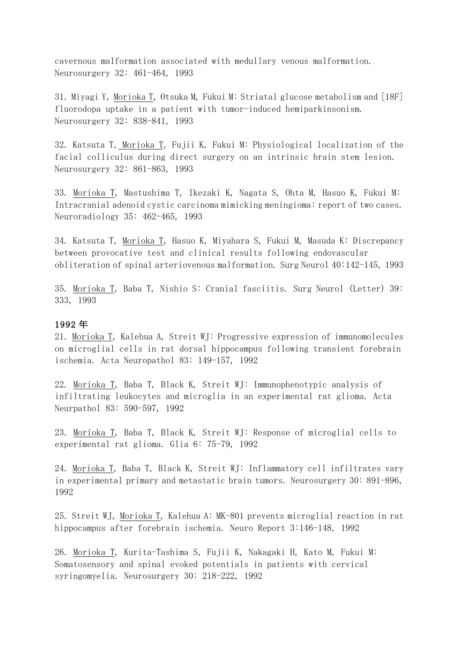cavernous malformation associated with medullary venous malformation. Neurosurgery 32: 461-464, 1993

31. Miyagi Y, Morioka T, Otsuka M, Fukui M: Striatal glucose metabolism and [18F] fluorodopa uptake in a patient with tumor-induced hemiparkinsonism. Neurosurgery 32: 838-841, 1993

32. Katsuta T, Morioka T, Fujii K, Fukui M: Physiological localization of the facial colliculus during direct surgery on an intrinsic brain stem lesion. Neurosurgery 32: 861-863, 1993

33. Morioka T, Mastushima T, Ikezaki K, Nagata S, Ohta M, Hasuo K, Fukui M: Intracranial adenoid cystic carcinoma mimicking meningioma: report of two cases. Neuroradiology 35: 462-465, 1993

34. Katsuta T, Morioka T, Hasuo K, Miyahara S, Fukui M, Masuda K: Discrepancy between provocative test and clinical results following endovascular obliteration of spinal arteriovenous malformation. Surg Neurol  $40:142-145$ , 1993

35. Morioka T, Baba T, Nishio S: Cranial fasciitis. Surg Neurol (Letter) 39: 333, 1993

#### 1992 年

21. Morioka T, Kalehua A, Streit WJ: Progressive expression of immunomolecules on microglial cells in rat dorsal hippocampus following transient forebrain ischemia. Acta Neuropathol 83: 149-157, 1992

22. Morioka T, Baba T, Black K, Streit WJ: Immunophenotypic analysis of infiltrating leukocytes and microglia in an experimental rat glioma. Acta Neurpathol 83: 590-597, 1992

23. Morioka T, Baba T, Black K, Streit WJ: Response of microglial cells to experimental rat glioma. Glia 6: 75-79, 1992

24. Morioka T, Baba T, Black K, Streit WJ: Inflammatory cell infiltrates vary in experimental primary and metastatic brain tumors. Neurosurgery 30: 891-896, 1992

25. Streit WJ, Morioka T, Kalehua A: MK-801 prevents microglial reaction in rat hippocampus after forebrain ischemia. Neuro Report 3:146-148, 1992

26. Morioka T, Kurita-Tashima S, Fujii K, Nakagaki H, Kato M, Fukui M: Somatosensory and spinal evoked potentials in patients with cervical syringomyelia. Neurosurgery 30: 218-222, 1992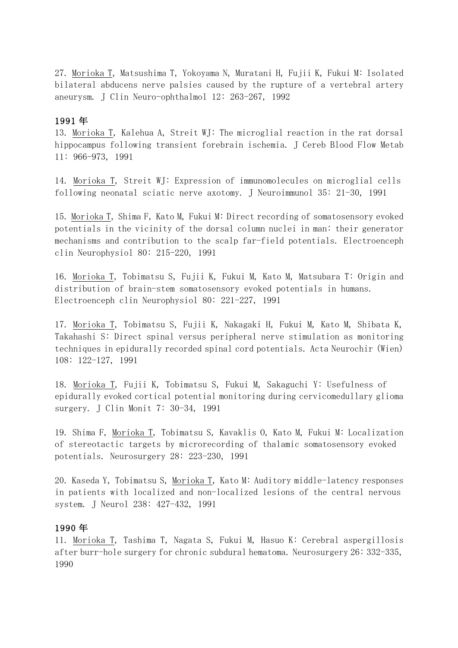27. Morioka T, Matsushima T, Yokoyama N, Muratani H, Fujii K, Fukui M: Isolated bilateral abducens nerve palsies caused by the rupture of a vertebral artery aneurysm. J Clin Neuro-ophthalmol 12: 263-267, 1992

## 1991 年

13. Morioka T, Kalehua A, Streit WJ: The microglial reaction in the rat dorsal hippocampus following transient forebrain ischemia. J Cereb Blood Flow Metab 11: 966-973, 1991

14. Morioka T, Streit WJ: Expression of immunomolecules on microglial cells following neonatal sciatic nerve axotomy. J Neuroimmunol 35: 21-30, 1991

15. Morioka T, Shima F, Kato M, Fukui M: Direct recording of somatosensory evoked potentials in the vicinity of the dorsal column nuclei in man: their generator mechanisms and contribution to the scalp far-field potentials. Electroenceph clin Neurophysiol 80: 215-220, 1991

16. Morioka T, Tobimatsu S, Fujii K, Fukui M, Kato M, Matsubara T: Origin and distribution of brain-stem somatosensory evoked potentials in humans. Electroenceph clin Neurophysiol 80: 221-227, 1991

17. Morioka T, Tobimatsu S, Fujii K, Nakagaki H, Fukui M, Kato M, Shibata K, Takahashi S: Direct spinal versus peripheral nerve stimulation as monitoring techniques in epidurally recorded spinal cord potentials. Acta Neurochir (Wien) 108: 122-127, 1991

18. Morioka T, Fujii K, Tobimatsu S, Fukui M, Sakaguchi Y: Usefulness of epidurally evoked cortical potential monitoring during cervicomedullary glioma surgery. J Clin Monit 7: 30-34, 1991

19. Shima F, Morioka T, Tobimatsu S, Kavaklis O, Kato M, Fukui M: Localization of stereotactic targets by microrecording of thalamic somatosensory evoked potentials. Neurosurgery 28: 223-230, 1991

20. Kaseda Y, Tobimatsu S, Morioka T, Kato M: Auditory middle-latency responses in patients with localized and non-localized lesions of the central nervous system. J Neurol 238: 427-432, 1991

## 1990 年

11. Morioka T, Tashima T, Nagata S, Fukui M, Hasuo K: Cerebral aspergillosis after burr-hole surgery for chronic subdural hematoma. Neurosurgery 26: 332-335, 1990